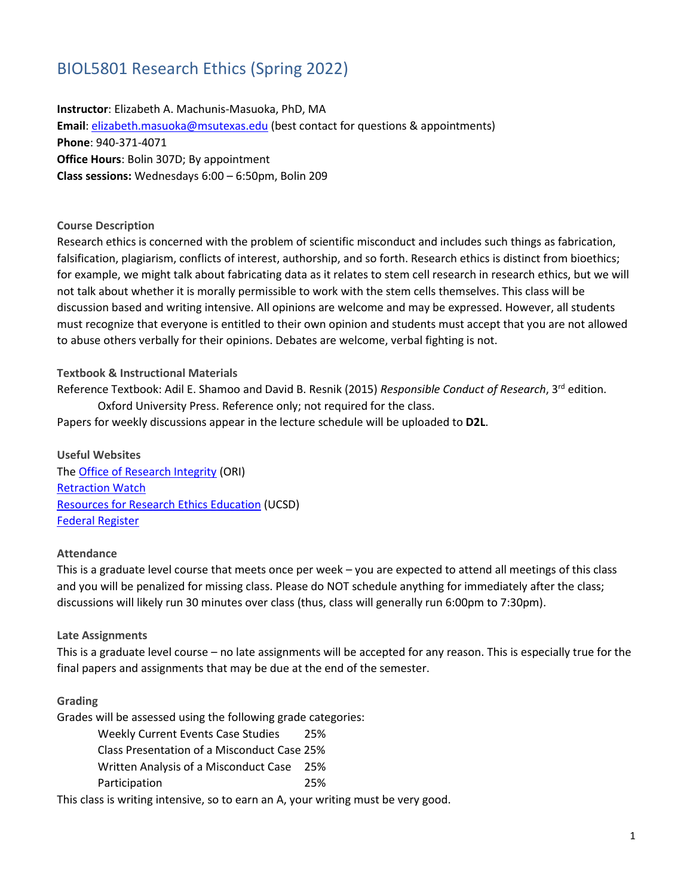# BIOL5801 Research Ethics (Spring 2022)

**Instructor**: Elizabeth A. Machunis-Masuoka, PhD, MA **Email**: [elizabeth.masuoka@msutexas.edu](mailto:elizabeth.masuoka@msutexas.edu) (best contact for questions & appointments) **Phone**: 940-371-4071 **Office Hours**: Bolin 307D; By appointment **Class sessions:** Wednesdays 6:00 – 6:50pm, Bolin 209

#### **Course Description**

Research ethics is concerned with the problem of scientific misconduct and includes such things as fabrication, falsification, plagiarism, conflicts of interest, authorship, and so forth. Research ethics is distinct from bioethics; for example, we might talk about fabricating data as it relates to stem cell research in research ethics, but we will not talk about whether it is morally permissible to work with the stem cells themselves. This class will be discussion based and writing intensive. All opinions are welcome and may be expressed. However, all students must recognize that everyone is entitled to their own opinion and students must accept that you are not allowed to abuse others verbally for their opinions. Debates are welcome, verbal fighting is not.

#### **Textbook & Instructional Materials**

Reference Textbook: Adil E. Shamoo and David B. Resnik (2015) *Responsible Conduct of Research*, 3<sup>rd</sup> edition. Oxford University Press. Reference only; not required for the class.

Papers for weekly discussions appear in the lecture schedule will be uploaded to **D2L**.

**Useful Websites** Th[e Office of Research Integrity](https://ori.hhs.gov/) (ORI) [Retraction Watch](https://retractionwatch.com/) [Resources for Research Ethics Education](research-ethics.org) (UCSD) [Federal Register](https://www.federalregister.gov/)

#### **Attendance**

This is a graduate level course that meets once per week – you are expected to attend all meetings of this class and you will be penalized for missing class. Please do NOT schedule anything for immediately after the class; discussions will likely run 30 minutes over class (thus, class will generally run 6:00pm to 7:30pm).

#### **Late Assignments**

This is a graduate level course – no late assignments will be accepted for any reason. This is especially true for the final papers and assignments that may be due at the end of the semester.

#### **Grading**

Grades will be assessed using the following grade categories:

Weekly Current Events Case Studies 25% Class Presentation of a Misconduct Case 25% Written Analysis of a Misconduct Case 25% Participation 25%

This class is writing intensive, so to earn an A, your writing must be very good.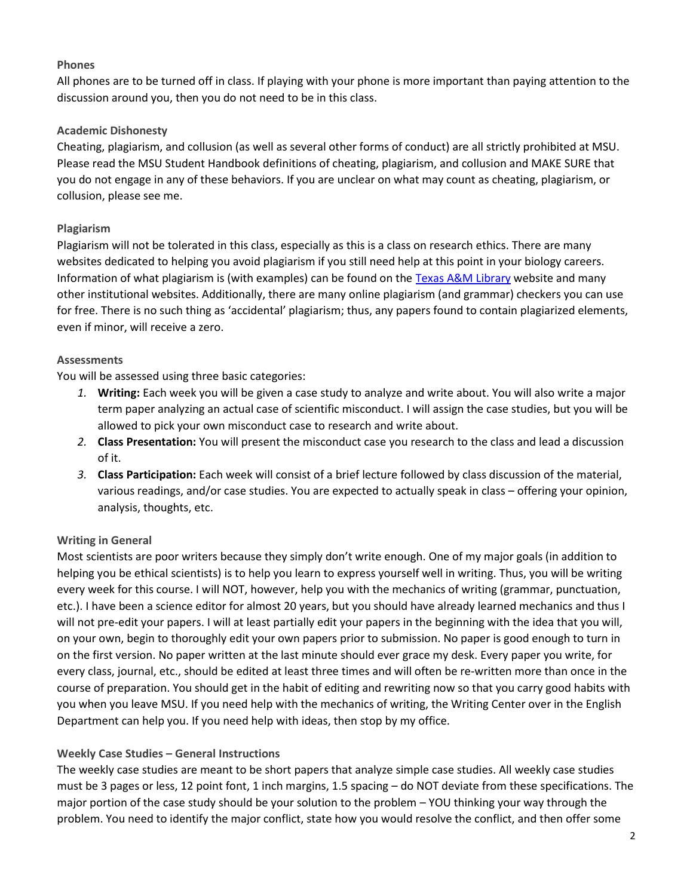#### **Phones**

All phones are to be turned off in class. If playing with your phone is more important than paying attention to the discussion around you, then you do not need to be in this class.

# **Academic Dishonesty**

Cheating, plagiarism, and collusion (as well as several other forms of conduct) are all strictly prohibited at MSU. Please read the MSU Student Handbook definitions of cheating, plagiarism, and collusion and MAKE SURE that you do not engage in any of these behaviors. If you are unclear on what may count as cheating, plagiarism, or collusion, please see me.

# **Plagiarism**

Plagiarism will not be tolerated in this class, especially as this is a class on research ethics. There are many websites dedicated to helping you avoid plagiarism if you still need help at this point in your biology careers. Information of what plagiarism is (with examples) can be found on the [Texas A&M Library](https://library.tamu.edu/help/help-yourself/using-materials-services/online-tutorials/academic-integrity/index.html) website and many other institutional websites. Additionally, there are many online plagiarism (and grammar) checkers you can use for free. There is no such thing as 'accidental' plagiarism; thus, any papers found to contain plagiarized elements, even if minor, will receive a zero.

## **Assessments**

You will be assessed using three basic categories:

- *1.* **Writing:** Each week you will be given a case study to analyze and write about. You will also write a major term paper analyzing an actual case of scientific misconduct. I will assign the case studies, but you will be allowed to pick your own misconduct case to research and write about.
- *2.* **Class Presentation:** You will present the misconduct case you research to the class and lead a discussion of it.
- *3.* **Class Participation:** Each week will consist of a brief lecture followed by class discussion of the material, various readings, and/or case studies. You are expected to actually speak in class – offering your opinion, analysis, thoughts, etc.

## **Writing in General**

Most scientists are poor writers because they simply don't write enough. One of my major goals (in addition to helping you be ethical scientists) is to help you learn to express yourself well in writing. Thus, you will be writing every week for this course. I will NOT, however, help you with the mechanics of writing (grammar, punctuation, etc.). I have been a science editor for almost 20 years, but you should have already learned mechanics and thus I will not pre-edit your papers. I will at least partially edit your papers in the beginning with the idea that you will, on your own, begin to thoroughly edit your own papers prior to submission. No paper is good enough to turn in on the first version. No paper written at the last minute should ever grace my desk. Every paper you write, for every class, journal, etc., should be edited at least three times and will often be re-written more than once in the course of preparation. You should get in the habit of editing and rewriting now so that you carry good habits with you when you leave MSU. If you need help with the mechanics of writing, the Writing Center over in the English Department can help you. If you need help with ideas, then stop by my office.

# **Weekly Case Studies – General Instructions**

The weekly case studies are meant to be short papers that analyze simple case studies. All weekly case studies must be 3 pages or less, 12 point font, 1 inch margins, 1.5 spacing – do NOT deviate from these specifications. The major portion of the case study should be your solution to the problem – YOU thinking your way through the problem. You need to identify the major conflict, state how you would resolve the conflict, and then offer some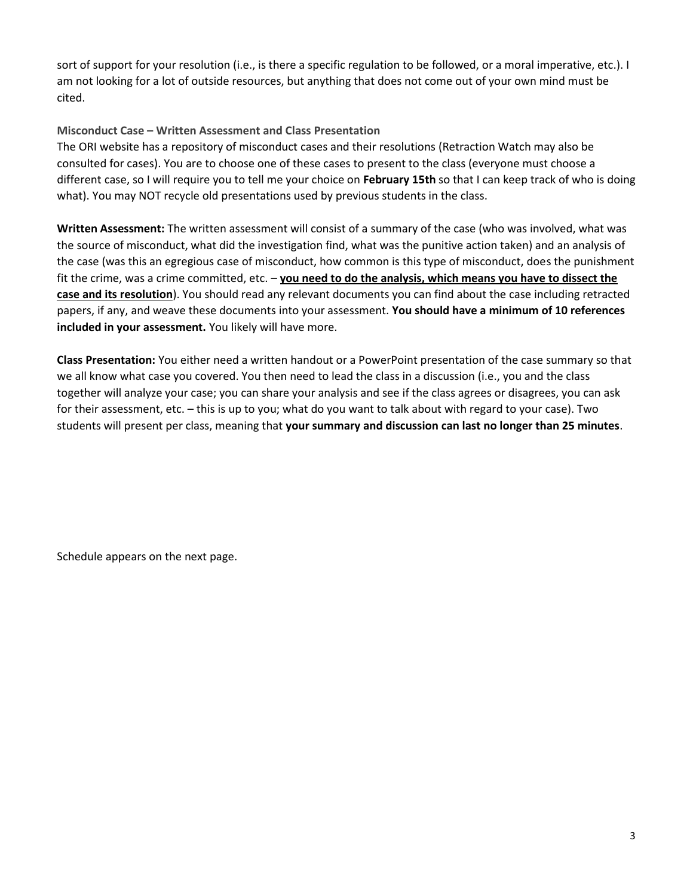sort of support for your resolution (i.e., is there a specific regulation to be followed, or a moral imperative, etc.). I am not looking for a lot of outside resources, but anything that does not come out of your own mind must be cited.

# **Misconduct Case – Written Assessment and Class Presentation**

The ORI website has a repository of misconduct cases and their resolutions (Retraction Watch may also be consulted for cases). You are to choose one of these cases to present to the class (everyone must choose a different case, so I will require you to tell me your choice on **February 15th** so that I can keep track of who is doing what). You may NOT recycle old presentations used by previous students in the class.

**Written Assessment:** The written assessment will consist of a summary of the case (who was involved, what was the source of misconduct, what did the investigation find, what was the punitive action taken) and an analysis of the case (was this an egregious case of misconduct, how common is this type of misconduct, does the punishment fit the crime, was a crime committed, etc. – **you need to do the analysis, which means you have to dissect the case and its resolution**). You should read any relevant documents you can find about the case including retracted papers, if any, and weave these documents into your assessment. **You should have a minimum of 10 references included in your assessment.** You likely will have more.

**Class Presentation:** You either need a written handout or a PowerPoint presentation of the case summary so that we all know what case you covered. You then need to lead the class in a discussion (i.e., you and the class together will analyze your case; you can share your analysis and see if the class agrees or disagrees, you can ask for their assessment, etc. – this is up to you; what do you want to talk about with regard to your case). Two students will present per class, meaning that **your summary and discussion can last no longer than 25 minutes**.

Schedule appears on the next page.